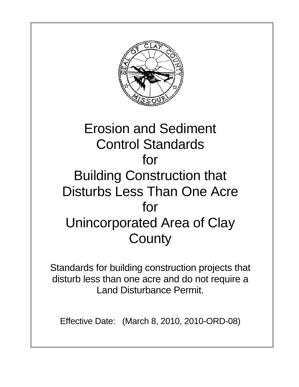

### Erosion and Sediment Control Standards for Building Construction that Disturbs Less Than One Acre for Unincorporated Area of Clay **County**

Standards for building construction projects that disturb less than one acre and do not require a Land Disturbance Permit.

Effective Date: (March 8, 2010, 2010-ORD-08)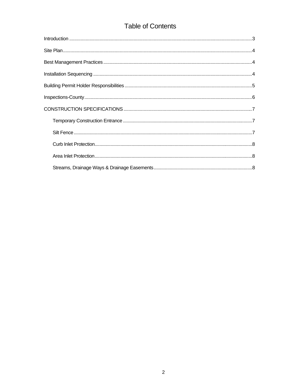#### **Table of Contents**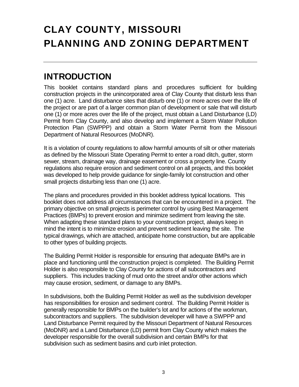### <span id="page-2-0"></span>CLAY COUNTY, MISSOURI PLANNING AND ZONING DEPARTMENT

#### **INTRODUCTION**

This booklet contains standard plans and procedures sufficient for building construction projects in the unincorporated area of Clay County that disturb less than one (1) acre. Land disturbance sites that disturb one (1) or more acres over the life of the project or are part of a larger common plan of development or sale that will disturb one (1) or more acres over the life of the project, must obtain a Land Disturbance (LD) Permit from Clay County, and also develop and implement a Storm Water Pollution Protection Plan (SWPPP) and obtain a Storm Water Permit from the Missouri Department of Natural Resources (MoDNR).

It is a violation of county regulations to allow harmful amounts of silt or other materials as defined by the Missouri State Operating Permit to enter a road ditch, gutter, storm sewer, stream, drainage way, drainage easement or cross a property line. County regulations also require erosion and sediment control on all projects, and this booklet was developed to help provide guidance for single-family lot construction and other small projects disturbing less than one (1) acre.

The plans and procedures provided in this booklet address typical locations. This booklet does not address all circumstances that can be encountered in a project. The primary objective on small projects is perimeter control by using Best Management Practices (BMPs) to prevent erosion and minimize sediment from leaving the site. When adapting these standard plans to your construction project, always keep in mind the intent is to minimize erosion and prevent sediment leaving the site. The typical drawings, which are attached, anticipate home construction, but are applicable to other types of building projects.

The Building Permit Holder is responsible for ensuring that adequate BMPs are in place and functioning until the construction project is completed. The Building Permit Holder is also responsible to Clay County for actions of all subcontractors and suppliers. This includes tracking of mud onto the street and/or other actions which may cause erosion, sediment, or damage to any BMPs.

In subdivisions, both the Building Permit Holder as well as the subdivision developer has responsibilities for erosion and sediment control. The Building Permit Holder is generally responsible for BMPs on the builder's lot and for actions of the workman, subcontractors and suppliers. The subdivision developer will have a SWPPP and Land Disturbance Permit required by the Missouri Department of Natural Resources (MoDNR) and a Land Disturbance (LD) permit from Clay County which makes the developer responsible for the overall subdivision and certain BMPs for that subdivision such as sediment basins and curb inlet protection.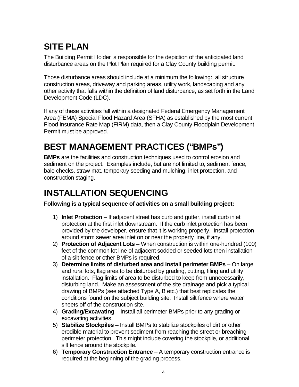#### <span id="page-3-0"></span>SITE PLAN

The Building Permit Holder is responsible for the depiction of the anticipated land disturbance areas on the Plot Plan required for a Clay County building permit.

Those disturbance areas should include at a minimum the following: all structure construction areas, driveway and parking areas, utility work, landscaping and any other activity that falls within the definition of land disturbance, as set forth in the Land Development Code (LDC).

If any of these activities fall within a designated Federal Emergency Management Area (FEMA) Special Flood Hazard Area (SFHA) as established by the most current Flood Insurance Rate Map (FIRM) data, then a Clay County Floodplain Development Permit must be approved.

#### BEST MANAGEMENT PRACTICES ("BMPs")

**BMPs** are the facilities and construction techniques used to control erosion and sediment on the project. Examples include, but are not limited to, sediment fence, bale checks, straw mat, temporary seeding and mulching, inlet protection, and construction staging.

#### INSTALLATION SEQUENCING

**Following is a typical sequence of activities on a small building project:** 

- 1) **Inlet Protection** If adjacent street has curb and gutter, install curb inlet protection at the first inlet downstream. If the curb inlet protection has been provided by the developer, ensure that it is working properly. Install protection around storm sewer area inlet on or near the property line, if any.
- 2) **Protection of Adjacent Lots**  When construction is within one-hundred (100) feet of the common lot line of adjacent sodded or seeded lots then installation of a silt fence or other BMPs is required.
- 3) **Determine limits of disturbed area and install perimeter BMPs**  On large and rural lots, flag area to be disturbed by grading, cutting, filing and utility installation. Flag limits of area to be disturbed to keep from unnecessarily, disturbing land. Make an assessment of the site drainage and pick a typical drawing of BMPs (see attached Type A, B etc.) that best replicates the conditions found on the subject building site. Install silt fence where water sheets off of the construction site.
- 4) **Grading/Excavating**  Install all perimeter BMPs prior to any grading or excavating activities.
- 5) **Stabilize Stockpiles**  Install BMPs to stabilize stockpiles of dirt or other erodible material to prevent sediment from reaching the street or breaching perimeter protection. This might include covering the stockpile, or additional silt fence around the stockpile.
- 6) **Temporary Construction Entrance**  A temporary construction entrance is required at the beginning of the grading process.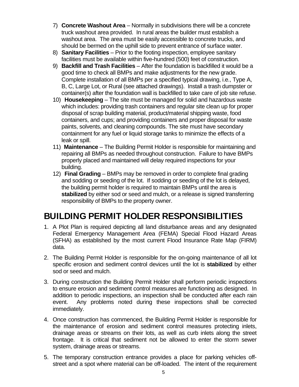- 7) **Concrete Washout Area**  Normally in subdivisions there will be a concrete truck washout area provided. In rural areas the builder must establish a washout area. The area must be easily accessible to concrete trucks, and should be bermed on the uphill side to prevent entrance of surface water.
- 8) **Sanitary Facilities**  Prior to the footing inspection, employee sanitary facilities must be available within five-hundred (500) feet of construction.
- 9) **Backfill and Trash Facilities**  After the foundation is backfilled it would be a good time to check all BMPs and make adjustments for the new grade. Complete installation of all BMPs per a specified typical drawing, i.e., Type A, B, C, Large Lot, or Rural (see attached drawings). Install a trash dumpster or container(s) after the foundation wall is backfilled to take care of job site refuse.
- 10) **Housekeeping**  The site must be managed for solid and hazardous waste which includes: providing trash containers and regular site clean up for proper disposal of scrap building material, product/material shipping waste, food containers, and cups; and providing containers and proper disposal for waste paints, solvents, and cleaning compounds. The site must have secondary containment for any fuel or liquid storage tanks to minimize the effects of a leak or spill.
- 11) **Maintenance**  The Building Permit Holder is responsible for maintaining and repairing all BMPs as needed throughout construction. Failure to have BMPs properly placed and maintained will delay required inspections for your building.
- 12) **Final Grading**  BMPs may be removed in order to complete final grading and sodding or seeding of the lot. If sodding or seeding of the lot is delayed, the building permit holder is required to maintain BMPs until the area is **stabilized** by either sod or seed and mulch, or a release is signed transferring responsibility of BMPs to the property owner.

#### BUILDING PERMIT HOLDER RESPONSIBILITIES

- 1. A Plot Plan is required depicting all land disturbance areas and any designated Federal Emergency Management Area (FEMA) Special Flood Hazard Areas (SFHA) as established by the most current Flood Insurance Rate Map (FIRM) data.
- 2. The Building Permit Holder is responsible for the on-going maintenance of all lot specific erosion and sediment control devices until the lot is **stabilized** by either sod or seed and mulch.
- 3. During construction the Building Permit Holder shall perform periodic inspections to ensure erosion and sediment control measures are functioning as designed. In addition to periodic inspections, an inspection shall be conducted after each rain event. Any problems noted during these inspections shall be corrected immediately.
- 4. Once construction has commenced, the Building Permit Holder is responsible for the maintenance of erosion and sediment control measures protecting inlets, drainage areas or streams on their lots, as well as curb inlets along the street frontage. It is critical that sediment not be allowed to enter the storm sewer system, drainage areas or streams.
- 5. The temporary construction entrance provides a place for parking vehicles offstreet and a spot where material can be off-loaded. The intent of the requirement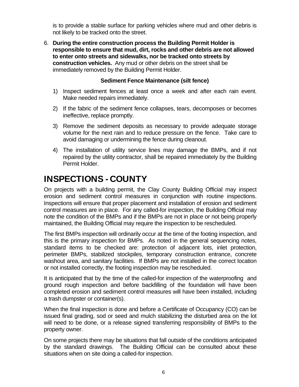is to provide a stable surface for parking vehicles where mud and other debris is not likely to be tracked onto the street.

6. **During the entire construction process the Building Permit Holder is responsible to ensure that mud, dirt, rocks and other debris are not allowed to enter onto streets and sidewalks, nor be tracked onto streets by construction vehicles.** Any mud or other debris on the street shall be immediately removed by the Building Permit Holder.

#### **Sediment Fence Maintenance (silt fence)**

- 1) Inspect sediment fences at least once a week and after each rain event. Make needed repairs immediately.
- 2) If the fabric of the sediment fence collapses, tears, decomposes or becomes ineffective, replace promptly.
- 3) Remove the sediment deposits as necessary to provide adequate storage volume for the next rain and to reduce pressure on the fence. Take care to avoid damaging or undermining the fence during cleanout.
- 4) The installation of utility service lines may damage the BMPs, and if not repaired by the utility contractor, shall be repaired immediately by the Building Permit Holder.

#### INSPECTIONS - COUNTY

On projects with a building permit, the Clay County Building Official may inspect erosion and sediment control measures in conjunction with routine inspections. Inspections will ensure that proper placement and installation of erosion and sediment control measures are in place. For any called-for inspection, the Building Official may note the condition of the BMPs and if the BMPs are not in place or not being properly maintained, the Building Official may require the inspection to be rescheduled.

The first BMPs inspection will ordinarily occur at the time of the footing inspection, and this is the primary inspection for BMPs. As noted in the general sequencing notes, standard items to be checked are: protection of adjacent lots, inlet protection, perimeter BMPs, stabilized stockpiles, temporary construction entrance, concrete washout area, and sanitary facilities. If BMPs are not installed in the correct location or not installed correctly, the footing inspection may be rescheduled.

It is anticipated that by the time of the called-for inspection of the waterproofing and ground rough inspection and before backfilling of the foundation will have been completed erosion and sediment control measures will have been installed, including a trash dumpster or container(s).

When the final inspection is done and before a Certificate of Occupancy (CO) can be issued final grading, sod or seed and mulch stabilizing the disturbed area on the lot will need to be done, or a release signed transferring responsibility of BMPs to the property owner.

On some projects there may be situations that fall outside of the conditions anticipated by the standard drawings. The Building Official can be consulted about these situations when on site doing a called-for inspection.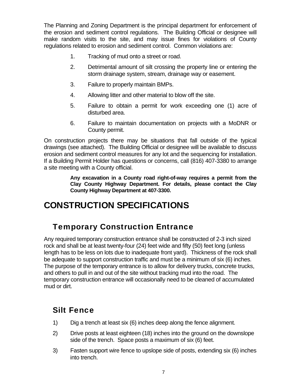The Planning and Zoning Department is the principal department for enforcement of the erosion and sediment control regulations. The Building Official or designee will make random visits to the site, and may issue fines for violations of County regulations related to erosion and sediment control. Common violations are:

- 1. Tracking of mud onto a street or road.
- 2. Detrimental amount of silt crossing the property line or entering the storm drainage system, stream, drainage way or easement.
- 3. Failure to properly maintain BMPs.
- 4. Allowing litter and other material to blow off the site.
- 5. Failure to obtain a permit for work exceeding one (1) acre of disturbed area.
- 6. Failure to maintain documentation on projects with a MoDNR or County permit.

On construction projects there may be situations that fall outside of the typical drawings (see attached). The Building Official or designee will be available to discuss erosion and sediment control measures for any lot and the sequencing for installation. If a Building Permit Holder has questions or concerns, call (816) 407-3380 to arrange a site meeting with a County official.

> **Any excavation in a County road right-of-way requires a permit from the Clay County Highway Department. For details, please contact the Clay County Highway Department at 407-3300.**

#### CONSTRUCTION SPECIFICATIONS

#### Temporary Construction Entrance

Any required temporary construction entrance shall be constructed of 2-3 inch sized rock and shall be at least twenty-four (24) feet wide and fifty (50) feet long (unless length has to be less on lots due to inadequate front yard). Thickness of the rock shall be adequate to support construction traffic and must be a minimum of six (6) inches. The purpose of the temporary entrance is to allow for delivery trucks, concrete trucks, and others to pull in and out of the site without tracking mud into the road. The temporary construction entrance will occasionally need to be cleaned of accumulated mud or dirt.

#### Silt Fence

- 1) Dig a trench at least six (6) inches deep along the fence alignment.
- 2) Drive posts at least eighteen (18) inches into the ground on the downslope side of the trench. Space posts a maximum of six (6) feet.
- 3) Fasten support wire fence to upslope side of posts, extending six (6) inches into trench.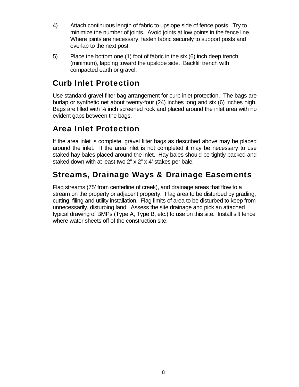- 4) Attach continuous length of fabric to upslope side of fence posts. Try to minimize the number of joints. Avoid joints at low points in the fence line. Where joints are necessary, fasten fabric securely to support posts and overlap to the next post.
- 5) Place the bottom one (1) foot of fabric in the six (6) inch deep trench (minimum), lapping toward the upslope side. Backfill trench with compacted earth or gravel.

#### Curb Inlet Protection

Use standard gravel filter bag arrangement for curb inlet protection. The bags are burlap or synthetic net about twenty-four (24) inches long and six (6) inches high. Bags are filled with ¾ inch screened rock and placed around the inlet area with no evident gaps between the bags.

#### Area Inlet Protection

If the area inlet is complete, gravel filter bags as described above may be placed around the inlet. If the area inlet is not completed it may be necessary to use staked hay bales placed around the inlet. Hay bales should be tightly packed and staked down with at least two 2" x 2" x 4' stakes per bale.

#### Streams, Drainage Ways & Drainage Easements

Flag streams (75' from centerline of creek), and drainage areas that flow to a stream on the property or adjacent property. Flag area to be disturbed by grading, cutting, filing and utility installation. Flag limits of area to be disturbed to keep from unnecessarily, disturbing land. Assess the site drainage and pick an attached typical drawing of BMPs (Type A, Type B, etc.) to use on this site. Install silt fence where water sheets off of the construction site.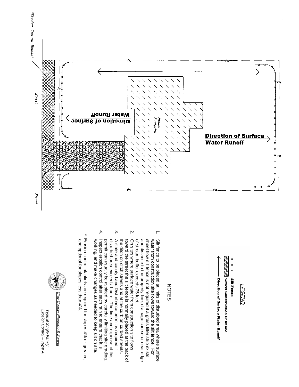



# NOTES

- $\overline{.}$ 1. Silt fence to be placed at limits of disturbed area where surface sheet flow silt fence is not required if a grass filter strip exists of stream buffer exceeds 75 feet. and distance to the property line, drainage course or near edge water from construction site flows toward the silt fence. For Silt fence to be placed at limits of disturbed area where surface of stream buffer exceeds 75 feet. and distance to the property line, sheet flow silt fence is not required if a grass filter strip exists water from construction site flows toward the silt fence. For drainage course or near edge
- Ņ 2. On sites where surface water from construction site flows the ditch on ditch streets and at the curb on curbed streets. toward the street the silt fence is normally placed at the back of On sites where surface water from construction site flows the ditch on ditch streets and at the curb on curbed streets. toward the street the silt fence is normally placed at the back of
- $\dot{\omega}$ 3. A state and county Land Disturbance permit is required if disturbed area exceeds 1 acre. The time and expense of this A state and county Land Disturbance permit is required if permit can usually be avoided by carefully limiting site grading permit can usually be avoided by carefully limiting site grading. disturbed area exceeds 1 acre. The time and expense of this
- 4. Inspect erosion control after each rain to ensure that it is working, and make changes as needed to keep silt on site. Inspect erosion control after each rain to ensure that it is working, and make changes as needed to keep silt on site.

 $\overline{4}$ 

 and optional for slopes less than 4%. \* Erosion control blankets are required for slopes 4% or greater, Erosion control blankets are required for slopes 4% or greater, and optional for slopes less than 4%



*Erosion Control – Typical Single Family Typical Single Family*<br>*Erosion Control – Type A*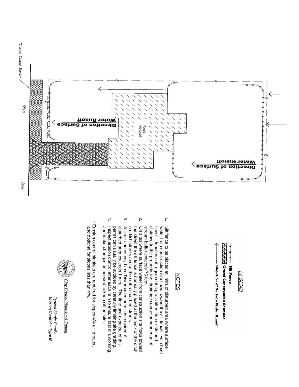



# NOTES

- $\overline{.}$ 1. Silt fence to be placed at limits of disturbed area where surface stream buffer exceeds 75 feet. distance to the property line, drainage course or near edge of water from construction site flows toward the silt fence. For sheet Silt fence to be placed at limits of disturbed area where surface stream buffer exceeds 75 feet. distance to the property line, drainage course or near edge of flow silt fence is not required if a grass filter strip exists and flow silt fence is not required if water from construction site flows toward the silt fence. For sheet a grass filter strip exists and
- Ņ 2. On sites where surface water from construction site flows toward on ditch streets and at the curb on curbed streets. the street the silt fence is normally placed at the back of the ditch On sites where surface water from construction site flows toward on ditch streets and at the curb on curbed streets. the street the silt fence is normally placed at the back of the ditch
- ب 3. A state and county Land Disturbance permit is required if permit can usually be avoided by carefully limiting site grading. disturbed area exceeds 1 acre. The time and expense of this A state and county Land Disturbance permit is required if permit can usually be avoided by carefully limiting site grading. disturbed area exceeds 1 acre. The time and expense of this
- $\ddot{ }$ 4. Inspect erosion control after each rain to ensure that it is working, and make changes as needed to keep silt on site. Inspect erosion control after each rain to ensure that it is working, and make changes as needed to keep silt on site.
- and optional for slopes less than 4%. \* Erosion control blankets are required for slopes 4% or greater, Erosion control blankets are required for slopes 4% or greater, and optional for slopes less than 4%



*Erosion Control – Typical Single Family Typical Single Family*<br>*Erosion Control* – **Type B**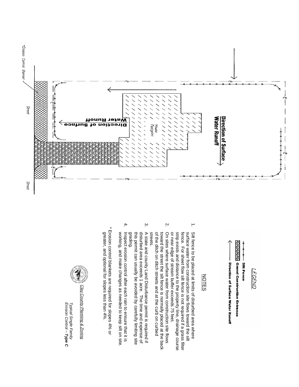

**BARBARA Gravel Construction Entrance** Direction of Surface Water Runoff **Silt Fence LGEND** 

# NOTES

- $\overline{a}$ 1. Silt fence to be placed at limits of disturbed area where or near edge of stream buffer exceeds 75 feet. strip exists and distance to the property line, drainage course surface water from construction site flows toward the silt Silt fence to be placed at limits of disturbed area where or near edge of stream buffer exceeds 75 feet. strip exists and distance to th fence. For sheet flow silt fence is not required if a grass filter fence. For sheet flow silt fence is not required if a grass filter surface water from construction site flows toward the silt e property line, drainage course
- Ņ. 2. On sites where surface water from construction site flows streets. of the ditch on ditch streets and at the curb on curbed toward the street the silt fence is normally placed at the back On sites where surface water from construction site flows streets. of the ditch on ditch streets and at the curb on curbed toward the street the silt fence is normally placed at the back
- $\omega$ 3. A state and county Land Disturbance permit is required if A state and county Land Disturbance permit is required if<br>disturbed area exceeds 1 acre. The time and expense of this permit can usually be avoided by carefully limiting site grading. this permit can usually be avoided by carefully limiting site disturbed area exceeds 1 acre. The time and expense of
- $\ddot{ }$ 4. Inspect erosion control after each rain to ensure that it is working, and make changes as needed to keep silt on site Inspect erosion control after each rain to ensure that it is working, and make changes as needed to keep silt on site.
- greater, and optional for slopes less than 4%. \* Erosion control blankets are required for slopes 4% or Erosion control blankets are required for slopes 4% or greater, and optional for slopes less than 4%



*Erosion Control – Typical Single Family Typical Single Family*<br>*Erosion Control – Type C*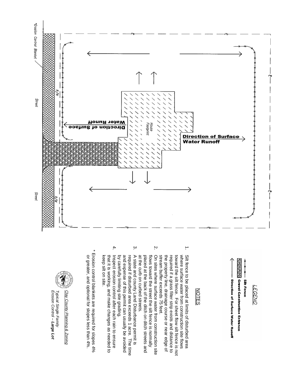

**Silt Fence** LEGEND

<u>WWWW</u> Gravel Construction Entrance **Direction of Surface Water Runoff** 

### NOTES

 $\overline{.}$ 

- 1. Silt fence to be placed at limits of disturbed area where surface water from construction site flows Silt fence to be placed at limits of disturbed area stream buffer exceeds 75 feet. the property line, drainage course or near edge of required if a grass filter strip exists and distance to toward the silt fence. For sheet flow silt fence is not stream buffer exceeds 75 feet. the property line, drainage course or near edge of required if a grass filter strip exists and distance to toward the silt fence. For where surface water from construction site flows sheet flow silt fence is not
- $\dot{\mathsf{c}}$ 2. On sites where surface water from construction site at the curb on curbed streets. placed at the back of the ditch on ditch streets and flows toward the street the silt fence is normally On sites where surface water from construction site at the curb on curbed streets. placed at the back of the ditch on ditch streets and flows toward the street the silt fence is normally
- 4.  $\omega$ 3. A state and county Land Disturbance permit is and expense of this permit can usually be avoided A state and county Land Disturbance permit is by carefully limiting site grading. required if disturbed area exceeds 1 acre. The time by carefully limiting site grading. and expense of this permit can usually be avoided required if disturbed area exceeds 1 acre. The time
- 4. Inspect erosion control after each rain to ensure Inspect erosion control after each rain to ensure that it is working, and make changes as needed to keep silt on site. keep silt on site. that it is working, and make changes as needed to

 or greater, and optional for slopes less than 4%. \* Erosion control blankets are required for slopes 4% Erosion control blankets are required for slopes 4% or greater, and optional for slopes less than 4%.



Clay County Planning & Zoning

*Erosion Control – Typical Single Family*  Typical Single Family<br>Erosion Control – **Large Lot**